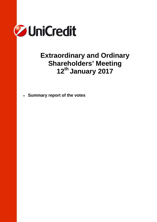

# **Extraordinary and Ordinary Shareholders' Meeting 12th January 2017**

• **Summary report of the votes**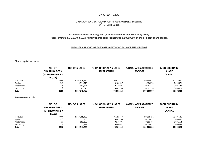## **UNICREDIT S.p.A.**

## **ORDINARY AND EXTRAORDINARY SHAREHOLDERS' MEETING 14TH OF APRIL 2016**

#### **Attendance to the meeting: no. 1,828 Shareholders in person or by proxy representing no. 3,217,463,672 ordinary shares corresponding to 52.080906% of the ordinary share capital.**

#### **SUMMARY REPORT OF THE VOTES ON THE AGENDA OF THE MEETING**

**Share capital increase**

|              | NO. OF<br><b>SHAREHOLDERS</b><br><b>(IN PERSON OR BY)</b><br>PROXY) | <b>NO. OF SHARES</b> | <b>% ON ORDINARY SHARES</b><br><b>REPRESENTED</b> | % ON SHARES ADMITTED<br><b>TO VOTE</b> | % ON ORDINARY<br><b>SHARE</b><br><b>CAPITAL</b> |
|--------------|---------------------------------------------------------------------|----------------------|---------------------------------------------------|----------------------------------------|-------------------------------------------------|
| In Favour    | 1660                                                                | 3,108,426,664        | 96.623277                                         | 99.630921                              | 50.315930                                       |
| Against      | 143                                                                 | 5,811,518            | 0.180647                                          | 0.186270                               | 0.094071                                        |
| Abstentions  | 10                                                                  | 5,661,851            | 0.175995                                          | 0.181473                               | 0.091648                                        |
| Not Voting   |                                                                     | 41.675               | 0.001295                                          | 0.001336                               | 0.000675                                        |
| <b>Total</b> | 1818                                                                | 3,119,941,708        | 96.981214                                         | 100.000000                             | 50.502323                                       |

#### **Reverse stock split**

|             | NO. OF<br><b>SHAREHOLDERS</b><br><b>(IN PERSON OR BY)</b><br>PROXY) | <b>NO. OF SHARES</b> | <b>% ON ORDINARY SHARES</b><br><b>REPRESENTED</b> | <b>% ON SHARES ADMITTED</b><br><b>TO VOTE</b> | % ON ORDINARY<br><b>SHARE</b><br><b>CAPITAL</b> |
|-------------|---------------------------------------------------------------------|----------------------|---------------------------------------------------|-----------------------------------------------|-------------------------------------------------|
| In Favour   | 1690                                                                | 3,113,965,483        | 96.795447                                         | 99.808451                                     | 50.405586                                       |
| Against     | 113                                                                 | 312,350              | 0.009709                                          | 0.010011                                      | 0.005056                                        |
| Abstentions |                                                                     | 5,662,200            | 0.176006                                          | 0.181484                                      | 0.091654                                        |
| Not Voting  |                                                                     | 1,675                | 0.000052                                          | 0.000054                                      | 0.000027                                        |
| Total       | 1818                                                                | 3,119,941,708        | 96.981214                                         | 100.000000                                    | 50.502323                                       |